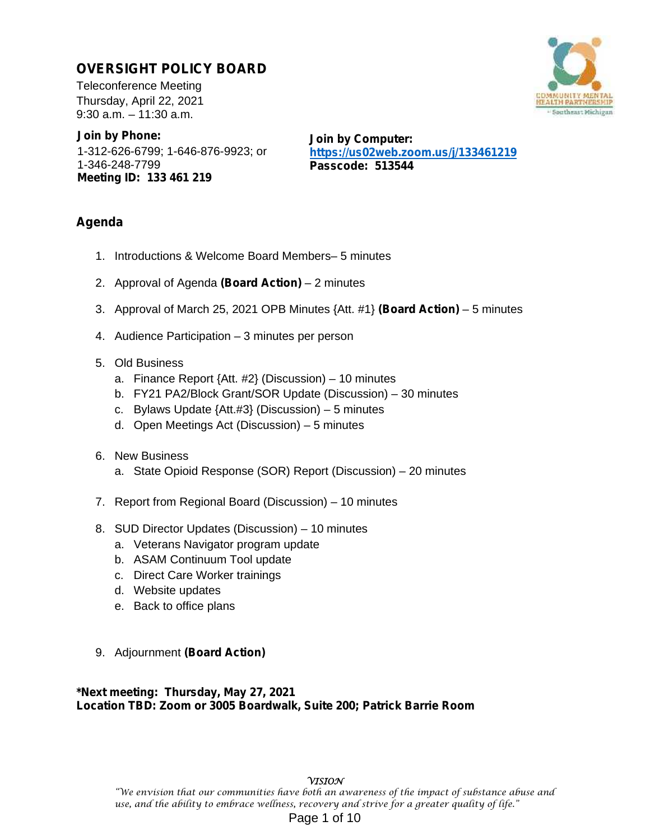# **OVERSIGHT POLICY BOARD**

Teleconference Meeting Thursday, April 22, 2021 9:30 a.m. – 11:30 a.m.

**Join by Phone:** 1-312-626-6799; 1-646-876-9923; or 1-346-248-7799 **Meeting ID: 133 461 219**

**Join by Computer: https://us02web.zoom.us/j/133461219 Passcode: 513544**

# **Agenda**

- 1. Introductions & Welcome Board Members– 5 minutes
- 2. Approval of Agenda **(Board Action)** 2 minutes
- 3. Approval of March 25, 2021 OPB Minutes {Att. #1} **(Board Action)** 5 minutes
- 4. Audience Participation 3 minutes per person

# 5. Old Business

- a. Finance Report {Att. #2} (Discussion) 10 minutes
- b. FY21 PA2/Block Grant/SOR Update (Discussion) 30 minutes
- c. Bylaws Update {Att.#3} (Discussion) 5 minutes
- d. Open Meetings Act (Discussion) 5 minutes
- 6. New Business
	- a. State Opioid Response (SOR) Report (Discussion) 20 minutes
- 7. Report from Regional Board (Discussion) 10 minutes
- 8. SUD Director Updates (Discussion) 10 minutes
	- a. Veterans Navigator program update
	- b. ASAM Continuum Tool update
	- c. Direct Care Worker trainings
	- d. Website updates
	- e. Back to office plans
- 9. Adjournment **(Board Action)**

### **\*Next meeting: Thursday, May 27, 2021 Location TBD: Zoom or 3005 Boardwalk, Suite 200; Patrick Barrie Room**

### **VISION**

"We envision that our communities have both an awareness of the impact of substance abuse and use, and the ability to embrace wellness, recovery and strive for a greater quality of life." Page 1 of 10

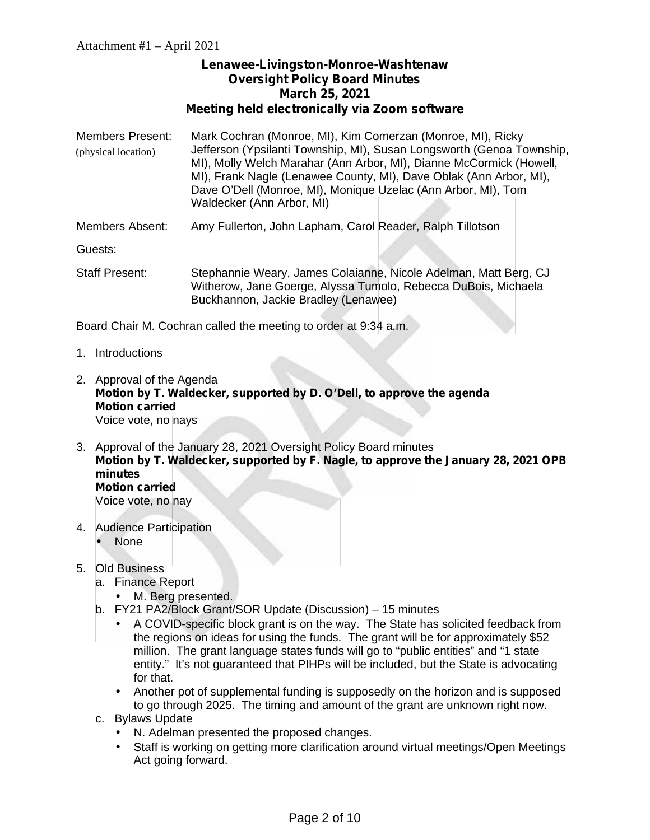# **Lenawee-Livingston-Monroe-Washtenaw Oversight Policy Board Minutes March 25, 2021 Meeting held electronically via Zoom software**

- Members Present: Mark Cochran (Monroe, MI), Kim Comerzan (Monroe, MI), Ricky Jefferson (Ypsilanti Township, MI), Susan Longsworth (Genoa Township, MI), Molly Welch Marahar (Ann Arbor, MI), Dianne McCormick (Howell, MI), Frank Nagle (Lenawee County, MI), Dave Oblak (Ann Arbor, MI), Dave O'Dell (Monroe, MI), Monique Uzelac (Ann Arbor, MI), Tom Waldecker (Ann Arbor, MI) (physical location)
- Members Absent: Amy Fullerton, John Lapham, Carol Reader, Ralph Tillotson

Guests:

Staff Present: Stephannie Weary, James Colaianne, Nicole Adelman, Matt Berg, CJ Witherow, Jane Goerge, Alyssa Tumolo, Rebecca DuBois, Michaela Buckhannon, Jackie Bradley (Lenawee)

Board Chair M. Cochran called the meeting to order at 9:34 a.m.

- 1. Introductions
- 2. Approval of the Agenda **Motion by T. Waldecker, supported by D. O'Dell, to approve the agenda Motion carried** Voice vote, no nays
- 3. Approval of the January 28, 2021 Oversight Policy Board minutes **Motion by T. Waldecker, supported by F. Nagle, to approve the January 28, 2021 OPB minutes Motion carried** Voice vote, no nay
- 4. Audience Participation
	- None
- 5. Old Business
	- a. Finance Report
		- M. Berg presented.
	- b. FY21 PA2/Block Grant/SOR Update (Discussion) 15 minutes
		- A COVID-specific block grant is on the way. The State has solicited feedback from the regions on ideas for using the funds. The grant will be for approximately \$52 million. The grant language states funds will go to "public entities" and "1 state entity." It's not guaranteed that PIHPs will be included, but the State is advocating for that.
			- Another pot of supplemental funding is supposedly on the horizon and is supposed to go through 2025. The timing and amount of the grant are unknown right now.
	- c. Bylaws Update
		- N. Adelman presented the proposed changes.
		- Staff is working on getting more clarification around virtual meetings/Open Meetings Act going forward.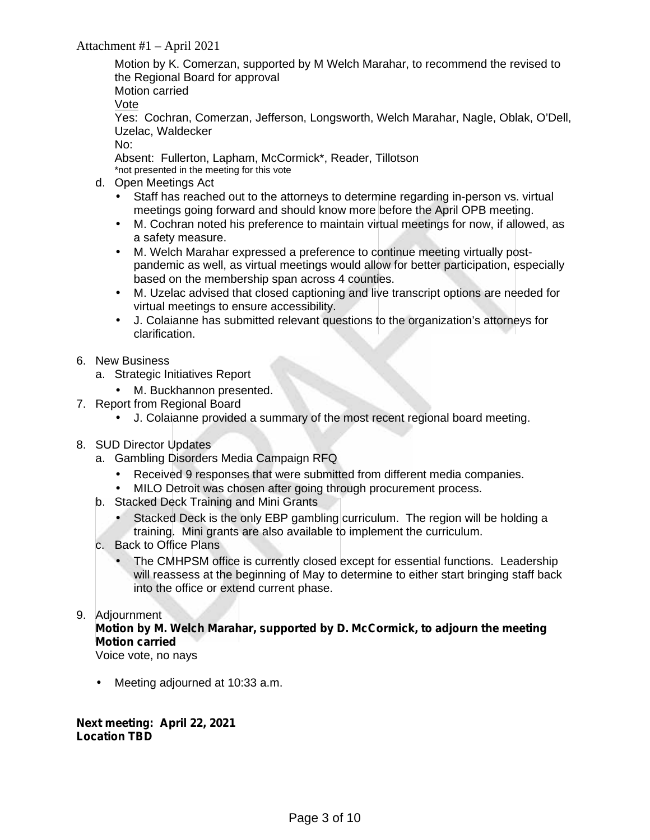# Attachment #1 – April 2021

Motion by K. Comerzan, supported by M Welch Marahar, to recommend the revised to the Regional Board for approval

Motion carried

Vote

Yes: Cochran, Comerzan, Jefferson, Longsworth, Welch Marahar, Nagle, Oblak, O'Dell, Uzelac, Waldecker

No:

Absent: Fullerton, Lapham, McCormick\*, Reader, Tillotson \*not presented in the meeting for this vote

- d. Open Meetings Act
	- Staff has reached out to the attorneys to determine regarding in-person vs. virtual meetings going forward and should know more before the April OPB meeting.
	- M. Cochran noted his preference to maintain virtual meetings for now, if allowed, as a safety measure.
	- M. Welch Marahar expressed a preference to continue meeting virtually post pandemic as well, as virtual meetings would allow for better participation, especially based on the membership span across 4 counties.
	- M. Uzelac advised that closed captioning and live transcript options are needed for virtual meetings to ensure accessibility.
	- J. Colaianne has submitted relevant questions to the organization's attorneys for clarification.
- 6. New Business
	- a. Strategic Initiatives Report
		- M. Buckhannon presented.
- 7. Report from Regional Board
	- J. Colaianne provided a summary of the most recent regional board meeting.
- 8. SUD Director Updates
	- a. Gambling Disorders Media Campaign RFQ
		- Received 9 responses that were submitted from different media companies.
		- MILO Detroit was chosen after going through procurement process.
	- b. Stacked Deck Training and Mini Grants
		- Stacked Deck is the only EBP gambling curriculum. The region will be holding a training. Mini grants are also available to implement the curriculum.
	- c. Back to Office Plans
		- The CMHPSM office is currently closed except for essential functions. Leadership will reassess at the beginning of May to determine to either start bringing staff back into the office or extend current phase.

### 9. Adjournment

# **Motion by M. Welch Marahar, supported by D. McCormick, to adjourn the meeting Motion carried**

Voice vote, no nays

Meeting adjourned at 10:33 a.m.

**Next meeting: April 22, 2021 Location TBD**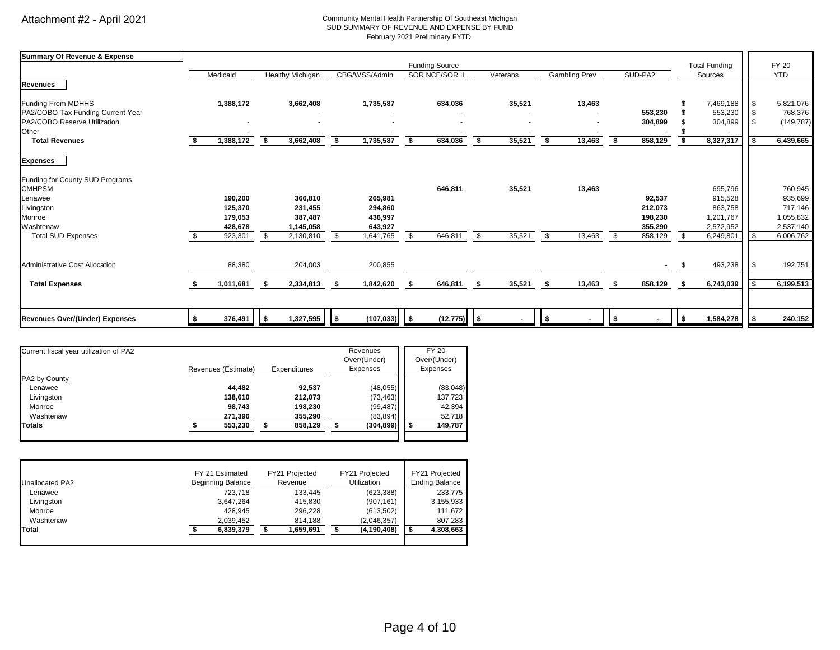#### Community Mental Health Partnership Of Southeast Michigan SUD SUMMARY OF REVENUE AND EXPENSE BY FUND

February 2021 Preliminary FYTD

| <b>Summary Of Revenue &amp; Expense</b> |                       |     |                  |    |                 |    |                |     |          |      |                      |      |              |            |           |          |            |
|-----------------------------------------|-----------------------|-----|------------------|----|-----------------|----|----------------|-----|----------|------|----------------------|------|--------------|------------|-----------|----------|------------|
|                                         | <b>Funding Source</b> |     |                  |    |                 |    |                |     |          |      | <b>Total Funding</b> |      | <b>FY 20</b> |            |           |          |            |
|                                         | Medicaid              |     | Healthy Michigan |    | CBG/WSS/Admin   |    | SOR NCE/SOR II |     | Veterans |      | <b>Gambling Prev</b> |      | SUD-PA2      |            | Sources   |          | <b>YTD</b> |
| <b>Revenues</b>                         |                       |     |                  |    |                 |    |                |     |          |      |                      |      |              |            |           |          |            |
| Funding From MDHHS                      | 1,388,172             |     | 3,662,408        |    | 1,735,587       |    | 634,036        |     | 35,521   |      | 13,463               |      |              | \$         | 7,469,188 | l S      | 5,821,076  |
| PA2/COBO Tax Funding Current Year       |                       |     |                  |    |                 |    |                |     |          |      |                      |      | 553,230      |            | 553,230   | l \$     | 768,376    |
| PA2/COBO Reserve Utilization            |                       |     |                  |    |                 |    |                |     |          |      | ۰                    |      | 304,899      |            | 304,899   |          | (149, 787) |
| Other                                   |                       |     |                  |    |                 |    |                |     |          |      |                      |      |              |            |           |          |            |
| <b>Total Revenues</b>                   | 1,388,172             | \$  | 3,662,408        | \$ | 1,735,587       | \$ | 634,036        | S.  | 35,521   | - \$ | 13,463               |      | 858,129      |            | 8,327,317 | -S       | 6,439,665  |
| <b>Expenses</b>                         |                       |     |                  |    |                 |    |                |     |          |      |                      |      |              |            |           |          |            |
| <b>Funding for County SUD Programs</b>  |                       |     |                  |    |                 |    |                |     |          |      |                      |      |              |            |           |          |            |
| <b>CMHPSM</b>                           |                       |     |                  |    |                 |    | 646,811        |     | 35,521   |      | 13,463               |      |              |            | 695,796   |          | 760,945    |
| Lenawee                                 | 190,200               |     | 366,810          |    | 265,981         |    |                |     |          |      |                      |      | 92,537       |            | 915,528   |          | 935,699    |
| Livingston                              | 125,370               |     | 231,455          |    | 294,860         |    |                |     |          |      |                      |      | 212,073      |            | 863,758   |          | 717,146    |
| Monroe                                  | 179,053               |     | 387,487          |    | 436,997         |    |                |     |          |      |                      |      | 198,230      |            | 1,201,767 |          | 1,055,832  |
| Washtenaw                               | 428,678               |     | 1,145,058        |    | 643,927         |    |                |     |          |      |                      |      | 355,290      |            | 2,572,952 |          | 2,537,140  |
| <b>Total SUD Expenses</b>               | 923,301               | \$. | 2,130,810        | \$ | 1,641,765       |    | 646,811        | \$  | 35,521   | - \$ | 13,463               | -96  | 858,129      | -\$        | 6,249,801 | l \$     | 6,006,762  |
|                                         |                       |     |                  |    |                 |    |                |     |          |      |                      |      |              |            |           |          |            |
| <b>Administrative Cost Allocation</b>   | 88,380                |     | 204,003          |    | 200,855         |    |                |     |          |      |                      |      | $\sim$       | \$         | 493,238   | - \$     | 192,751    |
| <b>Total Expenses</b>                   | 1,011,681             | s.  | 2,334,813        |    | 1,842,620       |    | 646,811        | - 5 | 35,521   | - \$ | 13,463               | - \$ | 858,129      | - \$       | 6,743,039 | <b>S</b> | 6,199,513  |
|                                         |                       |     |                  |    |                 |    |                |     |          |      |                      |      |              |            |           |          |            |
|                                         |                       |     |                  |    |                 |    |                |     |          |      |                      |      |              |            |           |          |            |
| Revenues Over/(Under) Expenses          | \$<br>376,491         |     | 1,327,595        |    | $(107, 033)$ \$ |    | $(12, 775)$ \$ |     |          | l s  |                      |      |              | $\sqrt{3}$ | 1,584,278 |          | 240,152    |
|                                         |                       |     |                  |    |                 |    |                |     |          |      |                      |      |              |            |           |          |            |

| Current fiscal year utilization of PA2 |                     |              | Revenues<br>Over/(Under) | <b>FY 20</b><br>Over/(Under) |
|----------------------------------------|---------------------|--------------|--------------------------|------------------------------|
|                                        | Revenues (Estimate) | Expenditures | Expenses                 | Expenses                     |
| PA2 by County                          |                     |              |                          |                              |
| Lenawee                                | 44.482              | 92,537       | (48,055)                 | (83,048)                     |
| Livingston                             | 138,610             | 212,073      | (73, 463)                | 137,723                      |
| Monroe                                 | 98.743              | 198,230      | (99, 487)                | 42,394                       |
| Washtenaw                              | 271.396             | 355,290      | (83, 894)                | 52,718                       |
| <b>Totals</b>                          | 553.230             | 858.129      | (304, 899)               | 149,787                      |
|                                        |                     |              |                          |                              |

| <b>Unallocated PA2</b> | FY 21 Estimated<br><b>Beginning Balance</b> | FY21 Projected<br>Revenue | FY21 Projected<br><b>Utilization</b> | FY21 Projected<br><b>Ending Balance</b> |
|------------------------|---------------------------------------------|---------------------------|--------------------------------------|-----------------------------------------|
| Lenawee                | 723.718                                     | 133.445                   | (623, 388)                           | 233.775                                 |
| Livingston             | 3.647.264                                   | 415.830                   | (907, 161)                           | 3,155,933                               |
| Monroe                 | 428.945                                     | 296.228                   | (613, 502)                           | 111,672                                 |
| Washtenaw              | 2.039.452                                   | 814.188                   | (2,046,357)                          | 807,283                                 |
| <b>Total</b>           | 6,839,379                                   | 1,659,691                 | (4, 190, 408)                        | 4,308,663                               |
|                        |                                             |                           |                                      |                                         |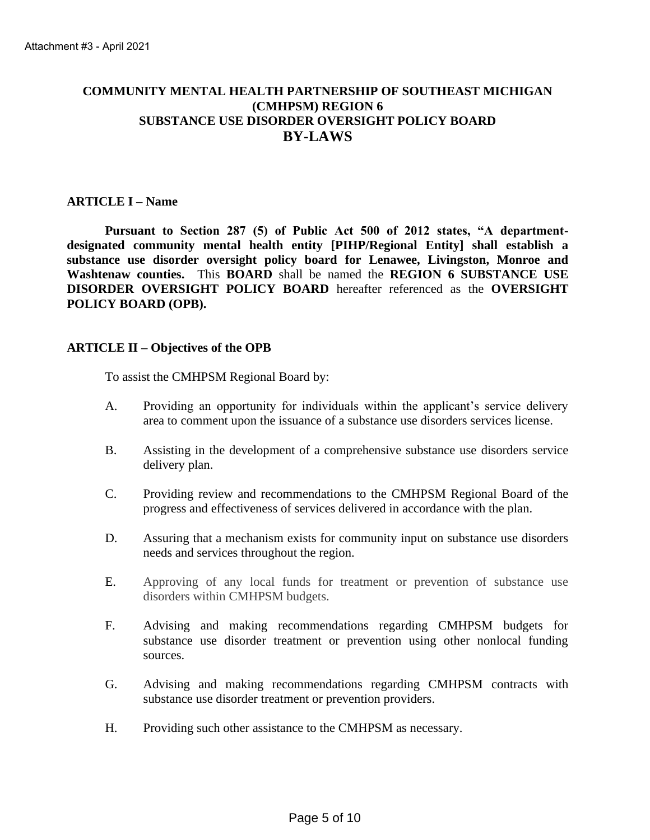# **COMMUNITY MENTAL HEALTH PARTNERSHIP OF SOUTHEAST MICHIGAN (CMHPSM) REGION 6 SUBSTANCE USE DISORDER OVERSIGHT POLICY BOARD BY-LAWS**

# **ARTICLE I – Name**

**Pursuant to Section 287 (5) of Public Act 500 of 2012 states, "A departmentdesignated community mental health entity [PIHP/Regional Entity] shall establish a substance use disorder oversight policy board for Lenawee, Livingston, Monroe and Washtenaw counties.** This **BOARD** shall be named the **REGION 6 SUBSTANCE USE DISORDER OVERSIGHT POLICY BOARD** hereafter referenced as the **OVERSIGHT POLICY BOARD (OPB).**

### **ARTICLE II – Objectives of the OPB**

To assist the CMHPSM Regional Board by:

- A. Providing an opportunity for individuals within the applicant's service delivery area to comment upon the issuance of a substance use disorders services license.
- B. Assisting in the development of a comprehensive substance use disorders service delivery plan.
- C. Providing review and recommendations to the CMHPSM Regional Board of the progress and effectiveness of services delivered in accordance with the plan.
- D. Assuring that a mechanism exists for community input on substance use disorders needs and services throughout the region.
- E. Approving of any local funds for treatment or prevention of substance use disorders within CMHPSM budgets.
- F. Advising and making recommendations regarding CMHPSM budgets for substance use disorder treatment or prevention using other nonlocal funding sources.
- G. Advising and making recommendations regarding CMHPSM contracts with substance use disorder treatment or prevention providers.
- H. Providing such other assistance to the CMHPSM as necessary.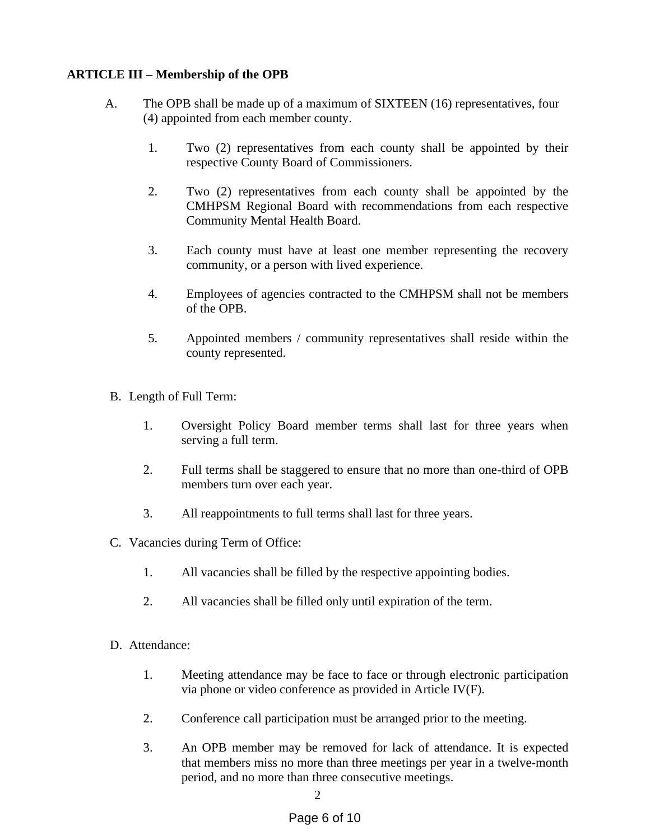# **ARTICLE III – Membership of the OPB**

- A. The OPB shall be made up of a maximum of SIXTEEN (16) representatives, four (4) appointed from each member county.
	- 1. Two (2) representatives from each county shall be appointed by their respective County Board of Commissioners.
	- 2. Two (2) representatives from each county shall be appointed by the CMHPSM Regional Board with recommendations from each respective Community Mental Health Board.
	- 3. Each county must have at least one member representing the recovery community, or a person with lived experience.
	- 4. Employees of agencies contracted to the CMHPSM shall not be members of the OPB.
	- 5. Appointed members / community representatives shall reside within the county represented.
- B. Length of Full Term:
	- 1. Oversight Policy Board member terms shall last for three years when serving a full term.
	- 2. Full terms shall be staggered to ensure that no more than one-third of OPB members turn over each year.
	- 3. All reappointments to full terms shall last for three years.
- C. Vacancies during Term of Office:
	- 1. All vacancies shall be filled by the respective appointing bodies.
	- 2. All vacancies shall be filled only until expiration of the term.
- D. Attendance:
	- 1. Meeting attendance may be face to face or through electronic participation via phone or video conference as provided in Article IV(F).
	- 2. Conference call participation must be arranged prior to the meeting.
	- 3. An OPB member may be removed for lack of attendance. It is expected that members miss no more than three meetings per year in a twelve-month period, and no more than three consecutive meetings.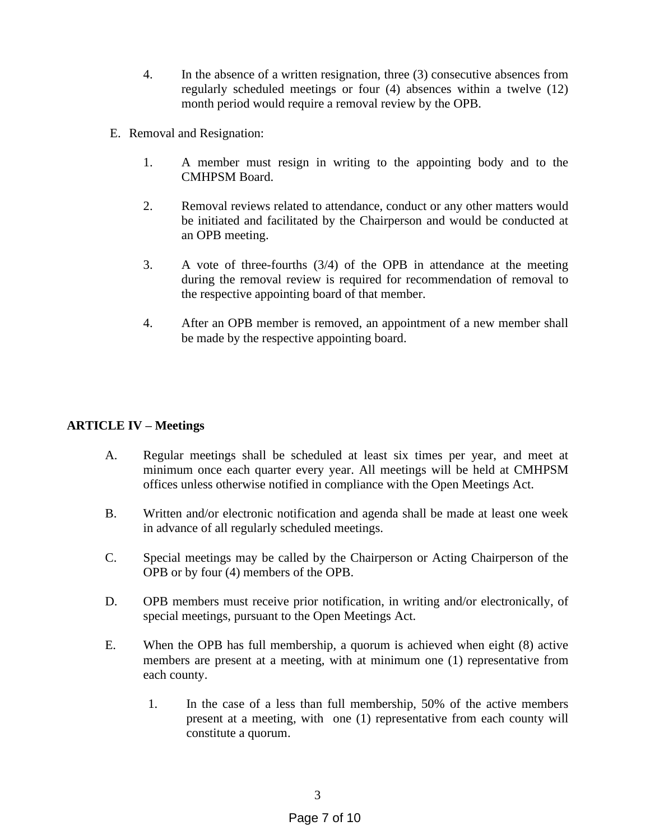- 4. In the absence of a written resignation, three (3) consecutive absences from regularly scheduled meetings or four (4) absences within a twelve (12) month period would require a removal review by the OPB.
- E. Removal and Resignation:
	- 1. A member must resign in writing to the appointing body and to the CMHPSM Board.
	- 2. Removal reviews related to attendance, conduct or any other matters would be initiated and facilitated by the Chairperson and would be conducted at an OPB meeting.
	- 3. A vote of three-fourths (3/4) of the OPB in attendance at the meeting during the removal review is required for recommendation of removal to the respective appointing board of that member.
	- 4. After an OPB member is removed, an appointment of a new member shall be made by the respective appointing board.

# **ARTICLE IV – Meetings**

- A. Regular meetings shall be scheduled at least six times per year, and meet at minimum once each quarter every year. All meetings will be held at CMHPSM offices unless otherwise notified in compliance with the Open Meetings Act.
- B. Written and/or electronic notification and agenda shall be made at least one week in advance of all regularly scheduled meetings.
- C. Special meetings may be called by the Chairperson or Acting Chairperson of the OPB or by four (4) members of the OPB.
- D. OPB members must receive prior notification, in writing and/or electronically, of special meetings, pursuant to the Open Meetings Act.
- E. When the OPB has full membership, a quorum is achieved when eight (8) active members are present at a meeting, with at minimum one (1) representative from each county.
	- 1. In the case of a less than full membership, 50% of the active members present at a meeting, with one (1) representative from each county will constitute a quorum.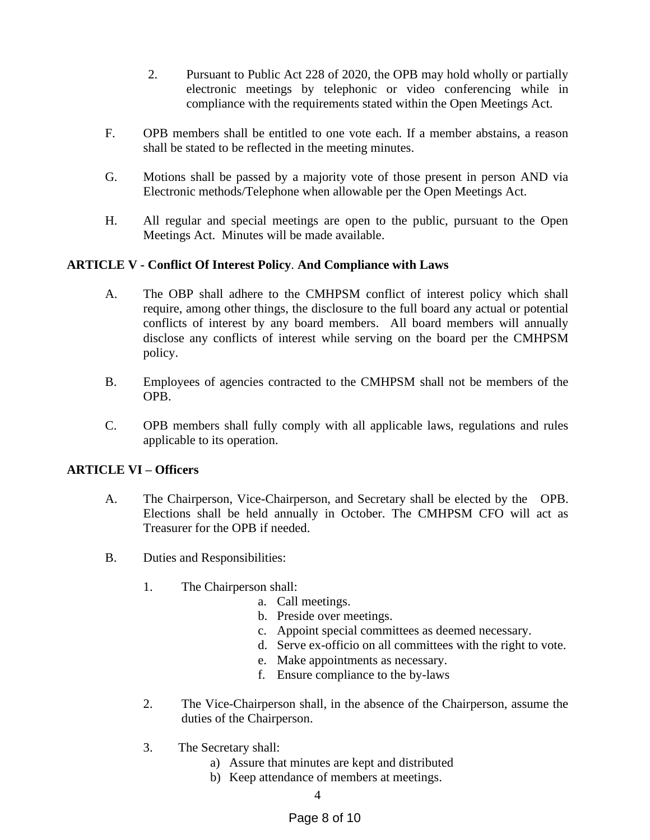- 2. Pursuant to Public Act 228 of 2020, the OPB may hold wholly or partially electronic meetings by telephonic or video conferencing while in compliance with the requirements stated within the Open Meetings Act.
- F. OPB members shall be entitled to one vote each. If a member abstains, a reason shall be stated to be reflected in the meeting minutes.
- G. Motions shall be passed by a majority vote of those present in person AND via Electronic methods/Telephone when allowable per the Open Meetings Act.
- H. All regular and special meetings are open to the public, pursuant to the Open Meetings Act. Minutes will be made available.

# **ARTICLE V - Conflict Of Interest Policy**. **And Compliance with Laws**

- A. The OBP shall adhere to the CMHPSM conflict of interest policy which shall require, among other things, the disclosure to the full board any actual or potential conflicts of interest by any board members. All board members will annually disclose any conflicts of interest while serving on the board per the CMHPSM policy.
- B. Employees of agencies contracted to the CMHPSM shall not be members of the OPB.
- C. OPB members shall fully comply with all applicable laws, regulations and rules applicable to its operation.

# **ARTICLE VI – Officers**

- A. The Chairperson, Vice-Chairperson, and Secretary shall be elected by the OPB. Elections shall be held annually in October. The CMHPSM CFO will act as Treasurer for the OPB if needed.
- B. Duties and Responsibilities:
	- 1. The Chairperson shall:
		- a. Call meetings.
		- b. Preside over meetings.
		- c. Appoint special committees as deemed necessary.
		- d. Serve ex-officio on all committees with the right to vote.
		- e. Make appointments as necessary.
		- f. Ensure compliance to the by-laws
	- 2. The Vice-Chairperson shall, in the absence of the Chairperson, assume the duties of the Chairperson.
	- 3. The Secretary shall:
		- a) Assure that minutes are kept and distributed
		- b) Keep attendance of members at meetings.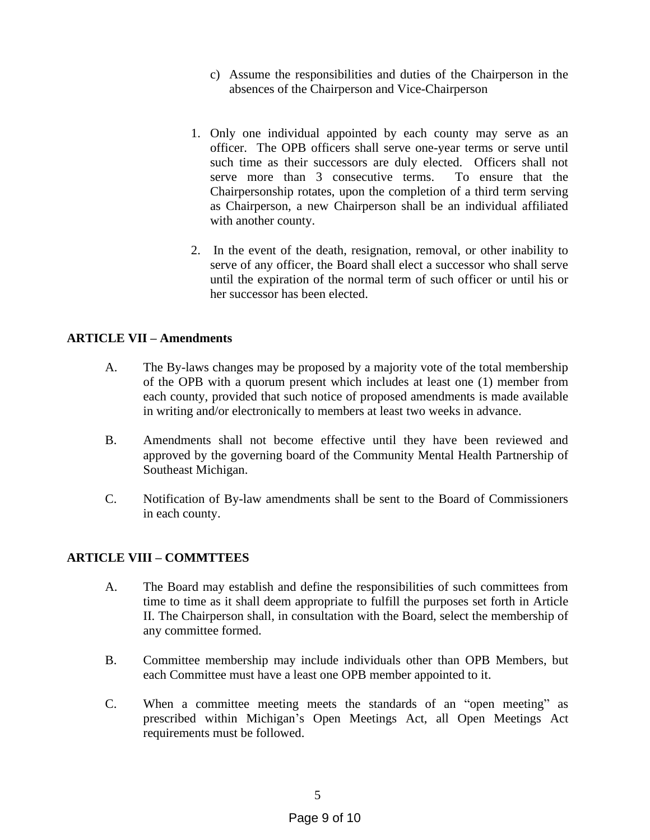- c) Assume the responsibilities and duties of the Chairperson in the absences of the Chairperson and Vice-Chairperson
- 1. Only one individual appointed by each county may serve as an officer. The OPB officers shall serve one-year terms or serve until such time as their successors are duly elected. Officers shall not serve more than 3 consecutive terms. To ensure that the Chairpersonship rotates, upon the completion of a third term serving as Chairperson, a new Chairperson shall be an individual affiliated with another county.
- 2. In the event of the death, resignation, removal, or other inability to serve of any officer, the Board shall elect a successor who shall serve until the expiration of the normal term of such officer or until his or her successor has been elected.

# **ARTICLE VII – Amendments**

- A. The By-laws changes may be proposed by a majority vote of the total membership of the OPB with a quorum present which includes at least one (1) member from each county, provided that such notice of proposed amendments is made available in writing and/or electronically to members at least two weeks in advance.
- B. Amendments shall not become effective until they have been reviewed and approved by the governing board of the Community Mental Health Partnership of Southeast Michigan.
- C. Notification of By-law amendments shall be sent to the Board of Commissioners in each county.

# **ARTICLE VIII – COMMTTEES**

- A. The Board may establish and define the responsibilities of such committees from time to time as it shall deem appropriate to fulfill the purposes set forth in Article II. The Chairperson shall, in consultation with the Board, select the membership of any committee formed.
- B. Committee membership may include individuals other than OPB Members, but each Committee must have a least one OPB member appointed to it.
- C. When a committee meeting meets the standards of an "open meeting" as prescribed within Michigan's Open Meetings Act, all Open Meetings Act requirements must be followed.